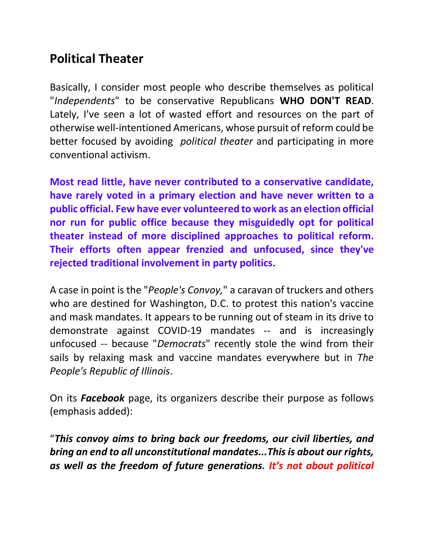## **Political Theater**

Basically, I consider most people who describe themselves as political "*Independents*" to be conservative Republicans **WHO DON'T READ**. Lately, I've seen a lot of wasted effort and resources on the part of otherwise well-intentioned Americans, whose pursuit of reform could be better focused by avoiding *political theater* and participating in more conventional activism.

**Most read little, have never contributed to a conservative candidate, have rarely voted in a primary election and have never written to a public official. Few have ever volunteered to work as an election official nor run for public office because they misguidedly opt for political theater instead of more disciplined approaches to political reform. Their efforts often appear frenzied and unfocused, since they've rejected traditional involvement in party politics.** 

A case in point is the "*People's Convoy,*" a caravan of truckers and others who are destined for Washington, D.C. to protest this nation's vaccine and mask mandates. It appears to be running out of steam in its drive to demonstrate against COVID-19 mandates -- and is increasingly unfocused -- because "*Democrats*" recently stole the wind from their sails by relaxing mask and vaccine mandates everywhere but in *The People's Republic of Illinois*.

On its *Facebook* page, its organizers describe their purpose as follows (emphasis added):

"*This convoy aims to bring back our freedoms, our civil liberties, and bring an end to all unconstitutional mandates...This is about our rights, as well as the freedom of future generations. It's not about political*